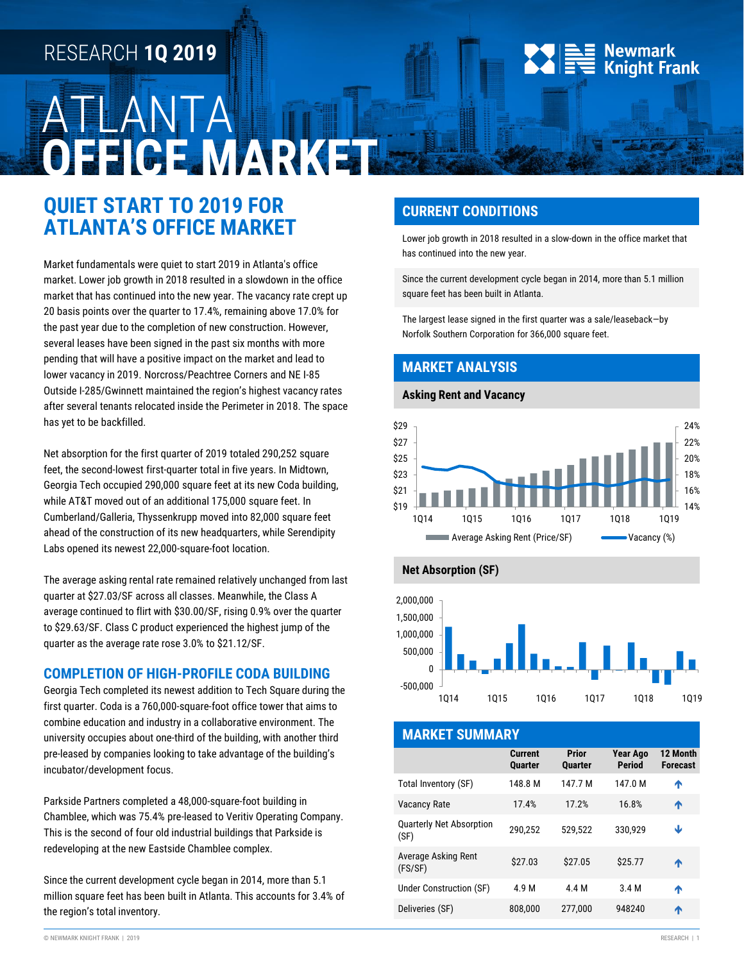# RESEARCH **1Q 2019**

# ATLANTA **OFFICE MARKET**

## **QUIET START TO 2019 FOR ATLANTA'S OFFICE MARKET**

Market fundamentals were quiet to start 2019 in Atlanta's office market. Lower job growth in 2018 resulted in a slowdown in the office market that has continued into the new year. The vacancy rate crept up 20 basis points over the quarter to 17.4%, remaining above 17.0% for the past year due to the completion of new construction. However, several leases have been signed in the past six months with more pending that will have a positive impact on the market and lead to lower vacancy in 2019. Norcross/Peachtree Corners and NE I-85 Outside I-285/Gwinnett maintained the region's highest vacancy rates after several tenants relocated inside the Perimeter in 2018. The space has yet to be backfilled.

Net absorption for the first quarter of 2019 totaled 290,252 square feet, the second-lowest first-quarter total in five years. In Midtown, Georgia Tech occupied 290,000 square feet at its new Coda building, while AT&T moved out of an additional 175,000 square feet. In Cumberland/Galleria, Thyssenkrupp moved into 82,000 square feet ahead of the construction of its new headquarters, while Serendipity Labs opened its newest 22,000-square-foot location.

The average asking rental rate remained relatively unchanged from last quarter at \$27.03/SF across all classes. Meanwhile, the Class A average continued to flirt with \$30.00/SF, rising 0.9% over the quarter to \$29.63/SF. Class C product experienced the highest jump of the quarter as the average rate rose 3.0% to \$21.12/SF.

### **COMPLETION OF HIGH-PROFILE CODA BUILDING**

Georgia Tech completed its newest addition to Tech Square during the first quarter. Coda is a 760,000-square-foot office tower that aims to combine education and industry in a collaborative environment. The university occupies about one-third of the building, with another third pre-leased by companies looking to take advantage of the building's incubator/development focus.

Parkside Partners completed a 48,000-square-foot building in Chamblee, which was 75.4% pre-leased to Veritiv Operating Company. This is the second of four old industrial buildings that Parkside is redeveloping at the new Eastside Chamblee complex.

Since the current development cycle began in 2014, more than 5.1 million square feet has been built in Atlanta. This accounts for 3.4% of the region's total inventory.

## **CURRENT CONDITIONS**

Lower job growth in 2018 resulted in a slow-down in the office market that has continued into the new year.

 $\equiv$  Newmark

**Knight Frank** 

Since the current development cycle began in 2014, more than 5.1 million square feet has been built in Atlanta.

The largest lease signed in the first quarter was a sale/leaseback—by Norfolk Southern Corporation for 366,000 square feet.

## **MARKET ANALYSIS**

#### **Asking Rent and Vacancy**







| <b>MARKET SUMMARY</b>                   |                           |                         |                                  |                             |  |  |
|-----------------------------------------|---------------------------|-------------------------|----------------------------------|-----------------------------|--|--|
|                                         | Current<br><b>Quarter</b> | Prior<br><b>Quarter</b> | <b>Year Ago</b><br><b>Period</b> | 12 Month<br><b>Forecast</b> |  |  |
| Total Inventory (SF)                    | 148.8 M                   | 147.7 M                 | 147.0 M                          | ́↑                          |  |  |
| <b>Vacancy Rate</b>                     | 17.4%                     | 17.2%                   | 16.8%                            | ᠰ                           |  |  |
| <b>Quarterly Net Absorption</b><br>(SF) | 290,252                   | 529,522                 | 330.929                          | Ψ                           |  |  |
| Average Asking Rent<br>(FS/SF)          | \$27.03                   | \$27.05                 | \$25.77                          | ^                           |  |  |
| Under Construction (SF)                 | 4.9 M                     | 4.4 M                   | 3.4 M                            | ₳                           |  |  |
| Deliveries (SF)                         | 808.000                   | 277.000                 | 948240                           | ^                           |  |  |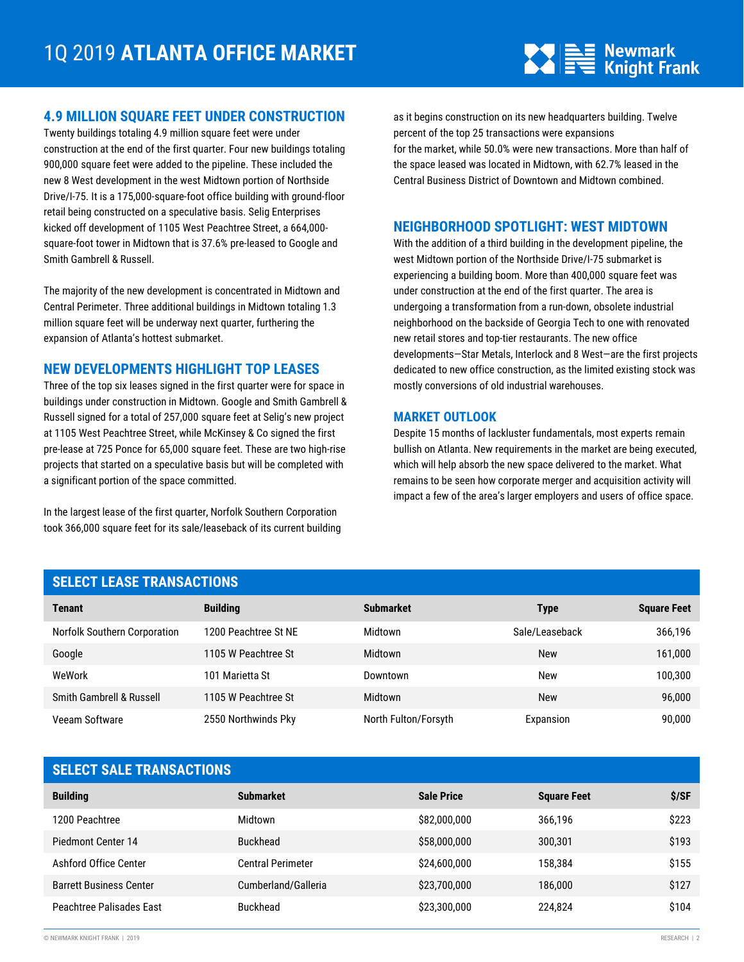

#### **4.9 MILLION SQUARE FEET UNDER CONSTRUCTION**

Twenty buildings totaling 4.9 million square feet were under construction at the end of the first quarter. Four new buildings totaling 900,000 square feet were added to the pipeline. These included the new 8 West development in the west Midtown portion of Northside Drive/I-75. It is a 175,000-square-foot office building with ground-floor retail being constructed on a speculative basis. Selig Enterprises kicked off development of 1105 West Peachtree Street, a 664,000 square-foot tower in Midtown that is 37.6% pre-leased to Google and Smith Gambrell & Russell.

The majority of the new development is concentrated in Midtown and Central Perimeter. Three additional buildings in Midtown totaling 1.3 million square feet will be underway next quarter, furthering the expansion of Atlanta's hottest submarket.

### **NEW DEVELOPMENTS HIGHLIGHT TOP LEASES**

Three of the top six leases signed in the first quarter were for space in buildings under construction in Midtown. Google and Smith Gambrell & Russell signed for a total of 257,000 square feet at Selig's new project at 1105 West Peachtree Street, while McKinsey & Co signed the first pre-lease at 725 Ponce for 65,000 square feet. These are two high-rise projects that started on a speculative basis but will be completed with a significant portion of the space committed.

In the largest lease of the first quarter, Norfolk Southern Corporation took 366,000 square feet for its sale/leaseback of its current building as it begins construction on its new headquarters building. Twelve percent of the top 25 transactions were expansions for the market, while 50.0% were new transactions. More than half of the space leased was located in Midtown, with 62.7% leased in the Central Business District of Downtown and Midtown combined.

#### **NEIGHBORHOOD SPOTLIGHT: WEST MIDTOWN**

With the addition of a third building in the development pipeline, the west Midtown portion of the Northside Drive/I-75 submarket is experiencing a building boom. More than 400,000 square feet was under construction at the end of the first quarter. The area is undergoing a transformation from a run-down, obsolete industrial neighborhood on the backside of Georgia Tech to one with renovated new retail stores and top-tier restaurants. The new office developments—Star Metals, Interlock and 8 West—are the first projects dedicated to new office construction, as the limited existing stock was mostly conversions of old industrial warehouses.

#### **MARKET OUTLOOK**

Despite 15 months of lackluster fundamentals, most experts remain bullish on Atlanta. New requirements in the market are being executed, which will help absorb the new space delivered to the market. What remains to be seen how corporate merger and acquisition activity will impact a few of the area's larger employers and users of office space.

## **SELECT LEASE TRANSACTIONS**

| <b>Tenant</b>                | <b>Building</b>      | <b>Submarket</b>     | Type           | <b>Square Feet</b> |
|------------------------------|----------------------|----------------------|----------------|--------------------|
| Norfolk Southern Corporation | 1200 Peachtree St NE | Midtown              | Sale/Leaseback | 366,196            |
| Google                       | 1105 W Peachtree St  | Midtown              | <b>New</b>     | 161,000            |
| WeWork                       | 101 Marietta St      | Downtown             | New            | 100,300            |
| Smith Gambrell & Russell     | 1105 W Peachtree St  | Midtown              | <b>New</b>     | 96,000             |
| Veeam Software               | 2550 Northwinds Pky  | North Fulton/Forsyth | Expansion      | 90,000             |

| <b>SELECT SALE TRANSACTIONS</b> |                          |                   |                    |       |  |
|---------------------------------|--------------------------|-------------------|--------------------|-------|--|
| <b>Building</b>                 | <b>Submarket</b>         | <b>Sale Price</b> | <b>Square Feet</b> | \$/SF |  |
| 1200 Peachtree                  | Midtown                  | \$82,000,000      | 366,196            | \$223 |  |
| Piedmont Center 14              | <b>Buckhead</b>          | \$58,000,000      | 300,301            | \$193 |  |
| Ashford Office Center           | <b>Central Perimeter</b> | \$24,600,000      | 158.384            | \$155 |  |
| <b>Barrett Business Center</b>  | Cumberland/Galleria      | \$23,700,000      | 186.000            | \$127 |  |
| Peachtree Palisades East        | <b>Buckhead</b>          | \$23,300,000      | 224,824            | \$104 |  |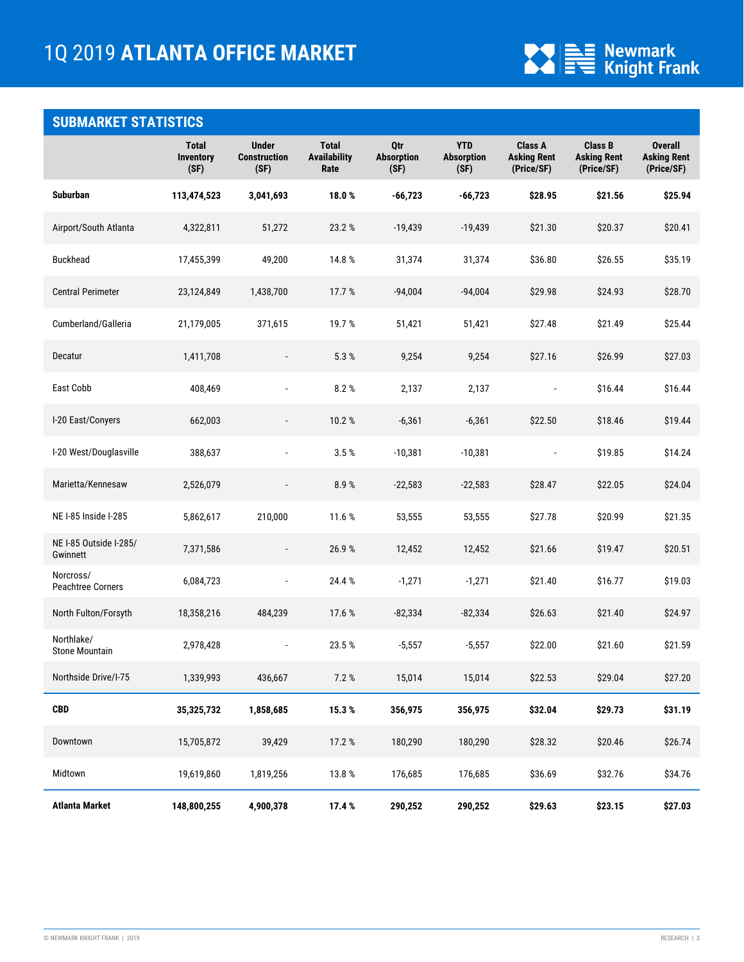

## **SUBMARKET STATISTICS**

|                                     | <b>Total</b><br><b>Inventory</b><br>(SF) | <b>Under</b><br><b>Construction</b><br>(SF) | <b>Total</b><br><b>Availability</b><br>Rate | Qtr<br><b>Absorption</b><br>(SF) | <b>YTD</b><br><b>Absorption</b><br>(SF) | Class A<br><b>Asking Rent</b><br>(Price/SF) | <b>Class B</b><br><b>Asking Rent</b><br>(Price/SF) | <b>Overall</b><br><b>Asking Rent</b><br>(Price/SF) |
|-------------------------------------|------------------------------------------|---------------------------------------------|---------------------------------------------|----------------------------------|-----------------------------------------|---------------------------------------------|----------------------------------------------------|----------------------------------------------------|
| <b>Suburban</b>                     | 113,474,523                              | 3,041,693                                   | 18.0%                                       | $-66,723$                        | $-66,723$                               | \$28.95                                     | \$21.56                                            | \$25.94                                            |
| Airport/South Atlanta               | 4,322,811                                | 51,272                                      | 23.2 %                                      | $-19,439$                        | $-19,439$                               | \$21.30                                     | \$20.37                                            | \$20.41                                            |
| <b>Buckhead</b>                     | 17,455,399                               | 49,200                                      | 14.8%                                       | 31,374                           | 31,374                                  | \$36.80                                     | \$26.55                                            | \$35.19                                            |
| <b>Central Perimeter</b>            | 23,124,849                               | 1,438,700                                   | 17.7 %                                      | $-94,004$                        | $-94,004$                               | \$29.98                                     | \$24.93                                            | \$28.70                                            |
| Cumberland/Galleria                 | 21,179,005                               | 371,615                                     | 19.7%                                       | 51,421                           | 51,421                                  | \$27.48                                     | \$21.49                                            | \$25.44                                            |
| Decatur                             | 1,411,708                                |                                             | 5.3 %                                       | 9,254                            | 9,254                                   | \$27.16                                     | \$26.99                                            | \$27.03                                            |
| East Cobb                           | 408,469                                  | $\blacksquare$                              | 8.2%                                        | 2,137                            | 2,137                                   | $\overline{\phantom{a}}$                    | \$16.44                                            | \$16.44                                            |
| I-20 East/Conyers                   | 662,003                                  |                                             | 10.2%                                       | $-6,361$                         | $-6,361$                                | \$22.50                                     | \$18.46                                            | \$19.44                                            |
| I-20 West/Douglasville              | 388,637                                  |                                             | 3.5%                                        | $-10,381$                        | $-10,381$                               | $\overline{\phantom{a}}$                    | \$19.85                                            | \$14.24                                            |
| Marietta/Kennesaw                   | 2,526,079                                | $\overline{\phantom{a}}$                    | 8.9%                                        | $-22,583$                        | $-22,583$                               | \$28.47                                     | \$22.05                                            | \$24.04                                            |
| NE I-85 Inside I-285                | 5,862,617                                | 210,000                                     | 11.6 %                                      | 53,555                           | 53,555                                  | \$27.78                                     | \$20.99                                            | \$21.35                                            |
| NE I-85 Outside I-285/<br>Gwinnett  | 7,371,586                                | $\overline{\phantom{a}}$                    | 26.9%                                       | 12,452                           | 12,452                                  | \$21.66                                     | \$19.47                                            | \$20.51                                            |
| Norcross/<br>Peachtree Corners      | 6,084,723                                |                                             | 24.4 %                                      | $-1,271$                         | $-1,271$                                | \$21.40                                     | \$16.77                                            | \$19.03                                            |
| North Fulton/Forsyth                | 18,358,216                               | 484,239                                     | 17.6 %                                      | $-82,334$                        | $-82,334$                               | \$26.63                                     | \$21.40                                            | \$24.97                                            |
| Northlake/<br><b>Stone Mountain</b> | 2,978,428                                |                                             | 23.5%                                       | $-5,557$                         | $-5,557$                                | \$22.00                                     | \$21.60                                            | \$21.59                                            |
| Northside Drive/I-75                | 1,339,993                                | 436,667                                     | 7.2 %                                       | 15,014                           | 15,014                                  | \$22.53                                     | \$29.04                                            | \$27.20                                            |
| <b>CBD</b>                          | 35,325,732                               | 1,858,685                                   | 15.3%                                       | 356,975                          | 356,975                                 | \$32.04                                     | \$29.73                                            | \$31.19                                            |
| Downtown                            | 15,705,872                               | 39,429                                      | 17.2%                                       | 180,290                          | 180,290                                 | \$28.32                                     | \$20.46                                            | \$26.74                                            |
| Midtown                             | 19,619,860                               | 1,819,256                                   | 13.8%                                       | 176,685                          | 176,685                                 | \$36.69                                     | \$32.76                                            | \$34.76                                            |
| Atlanta Market                      | 148,800,255                              | 4,900,378                                   | 17.4 %                                      | 290,252                          | 290,252                                 | \$29.63                                     | \$23.15                                            | \$27.03                                            |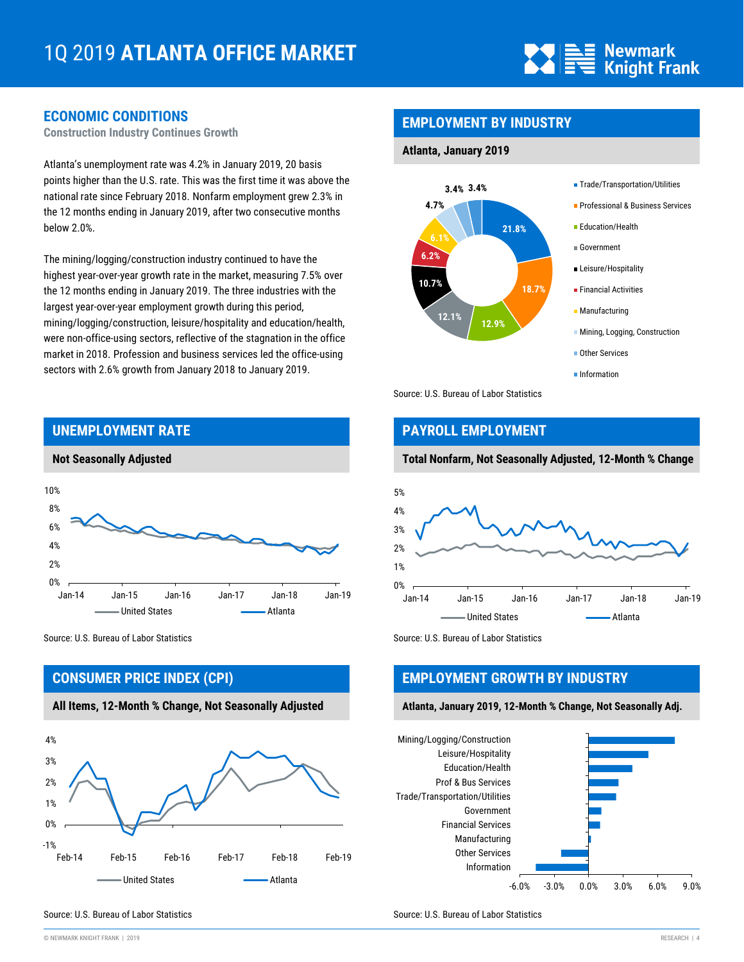

## **ECONOMIC CONDITIONS**

**Construction Industry Continues Growth**

Atlanta's unemployment rate was 4.2% in January 2019, 20 basis points higher than the U.S. rate. This was the first time it was above the national rate since February 2018. Nonfarm employment grew 2.3% in the 12 months ending in January 2019, after two consecutive months below 2.0%.

The mining/logging/construction industry continued to have the highest year-over-year growth rate in the market, measuring 7.5% over the 12 months ending in January 2019. The three industries with the largest year-over-year employment growth during this period, mining/logging/construction, leisure/hospitality and education/health, were non-office-using sectors, reflective of the stagnation in the office market in 2018. Profession and business services led the office-using sectors with 2.6% growth from January 2018 to January 2019.



Source: U.S. Bureau of Labor Statistics Source: U.S. Bureau of Labor Statistics Source: U.S. Bureau of Labor Statistics

## **CONSUMER PRICE INDEX (CPI)**

**All Items, 12-Month % Change, Not Seasonally Adjusted**



## **EMPLOYMENT BY INDUSTRY**

#### **Atlanta, January 2019**



Source: U.S. Bureau of Labor Statistics

## **PAYROLL EMPLOYMENT**

#### **Total Nonfarm, Not Seasonally Adjusted, 12-Month % Change**



## **EMPLOYMENT GROWTH BY INDUSTRY**

**Atlanta, January 2019, 12-Month % Change, Not Seasonally Adj.**



Source: U.S. Bureau of Labor Statistics Source: U.S. Bureau of Labor Statistics